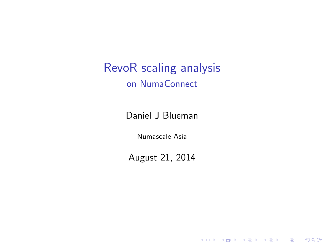RevoR scaling analysis on NumaConnect

Daniel J Blueman

Numascale Asia

August 21, 2014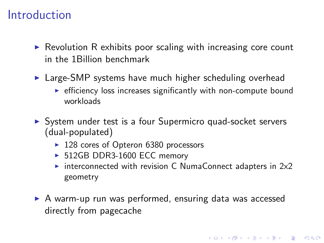### Introduction

- $\triangleright$  Revolution R exhibits poor scaling with increasing core count in the 1Billion benchmark
- **In Large-SMP** systems have much higher scheduling overhead
	- $\triangleright$  efficiency loss increases significantly with non-compute bound workloads
- ▶ System under test is a four Supermicro quad-socket servers (dual-populated)
	- $\blacktriangleright$  128 cores of Opteron 6380 processors
	- ▶ 512GB DDR3-1600 ECC memory
	- $\triangleright$  interconnected with revision C NumaConnect adapters in 2x2 geometry

4 D > 4 P + 4 B + 4 B + B + 9 Q O

 $\triangleright$  A warm-up run was performed, ensuring data was accessed directly from pagecache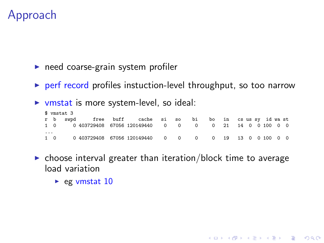## Approach

 $\triangleright$  need coarse-grain system profiler

- $\triangleright$  perf record profiles instuction-level throughput, so too narrow
- $\triangleright$  vmstat is more system-level, so ideal:

|   | \$ vmstat 3 |  |                                                           |  |  |  |  |  |  |  |  |  |  |  |  |
|---|-------------|--|-----------------------------------------------------------|--|--|--|--|--|--|--|--|--|--|--|--|
|   |             |  | r b swpd free buff cache si so bi bo in csussy idwast     |  |  |  |  |  |  |  |  |  |  |  |  |
|   |             |  | 1 0 0 403729408 67056 120149440 0 0 0 0 21 14 0 0 100 0 0 |  |  |  |  |  |  |  |  |  |  |  |  |
| . |             |  | 1 0 0 403729408 67056 120149440 0 0 0 0 19 13 0 0 100 0 0 |  |  |  |  |  |  |  |  |  |  |  |  |

 $\triangleright$  choose interval greater than iteration/block time to average load variation

K ロ ▶ K @ ▶ K 할 > K 할 > 1 할 > 1 이익어

 $\triangleright$  eg vmstat 10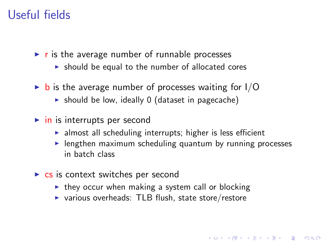## Useful fields

 $\triangleright$  r is the average number of runnable processes

- $\triangleright$  should be equal to the number of allocated cores
- $\triangleright$  b is the average number of processes waiting for I/O
	- $\triangleright$  should be low, ideally 0 (dataset in pagecache)
- $\triangleright$  in is interrupts per second
	- $\blacktriangleright$  almost all scheduling interrupts; higher is less efficient
	- $\blacktriangleright$  lengthen maximum scheduling quantum by running processes in batch class

- $\triangleright$  cs is context switches per second
	- $\triangleright$  they occur when making a system call or blocking
	- $\triangleright$  various overheads: TLB flush, state store/restore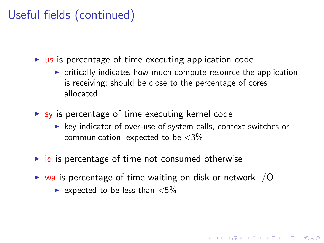# Useful fields (continued)

 $\triangleright$  us is percentage of time executing application code

- $\triangleright$  critically indicates how much compute resource the application is receiving; should be close to the percentage of cores allocated
- $\triangleright$  sy is percentage of time executing kernel code
	- $\blacktriangleright$  key indicator of over-use of system calls, context switches or communication; expected to be  $\langle 3\%$

- $\triangleright$  id is percentage of time not consumed otherwise
- $\triangleright$  wa is percentage of time waiting on disk or network  $I/O$ 
	- Expected to be less than  $\langle 5\%$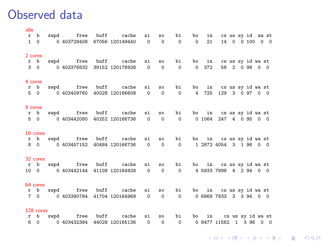#### Observed data

| idle |           |  |                                                                   |  |  |  |  |  |  |
|------|-----------|--|-------------------------------------------------------------------|--|--|--|--|--|--|
|      |           |  | r b swpd free buff cache si so bi bo in csus sy id wast           |  |  |  |  |  |  |
|      |           |  | 1 0 0 0 0 0 403729408 67056 120149440 0 0 0 0 0 21 14 0 0 100 0 0 |  |  |  |  |  |  |
|      | 2 cores   |  |                                                                   |  |  |  |  |  |  |
|      |           |  | r b swpd free buff cache si so bi bo in csus syidwast             |  |  |  |  |  |  |
|      |           |  | 3 0 0 403376832 39152 120176928 0 0 0 0 372 58 2 0 98 0 0         |  |  |  |  |  |  |
|      | 4 cores   |  |                                                                   |  |  |  |  |  |  |
|      |           |  | r b swpd free buff cache si so bi bo in cs us sy id wast          |  |  |  |  |  |  |
|      |           |  | 5 0 0 403409760 40028 120166608 0 0 0 4 725 129 3 0 97 0 0        |  |  |  |  |  |  |
|      | 8 cores   |  |                                                                   |  |  |  |  |  |  |
|      |           |  | r b swpd free buff cache si so bi bo in cs us sy id wast          |  |  |  |  |  |  |
|      |           |  | 5 0 0 103442080 40252 120166736 0 0 0 0 1064 247 4 0 95 0 0       |  |  |  |  |  |  |
|      | 16 cores  |  |                                                                   |  |  |  |  |  |  |
|      |           |  | r b swpd free buff cache si so bi bo in cs us sy id wast          |  |  |  |  |  |  |
|      |           |  | 8 0 0 403457152 40484 120166736 0 0 0 1 2872 4054 3 1 96 0 0      |  |  |  |  |  |  |
|      | 32 cores  |  |                                                                   |  |  |  |  |  |  |
|      |           |  | r b swpd free buff cache si so bi bo in csus sy id wast           |  |  |  |  |  |  |
|      |           |  | 10 0 0 403442144 41108 120164928 0 0 0 0 4 5933 7898 4 2 94 0 0   |  |  |  |  |  |  |
|      | 64 cores  |  |                                                                   |  |  |  |  |  |  |
|      |           |  | r b swpd free buff cache si so bi bo in cs us sy id wast          |  |  |  |  |  |  |
|      |           |  | 7 0 0 403390784 41704 120164968 0 0 0 0 6868 7833 3 3 94 0 0      |  |  |  |  |  |  |
|      | 128 cores |  |                                                                   |  |  |  |  |  |  |
|      |           |  | r b swpd free buff cache si so bi bo in csus sy id wast           |  |  |  |  |  |  |
|      |           |  | 6 0 0 403432384 44028 120165136 0 0 0 0 8477 11562 1 3 96 0 0     |  |  |  |  |  |  |

**K ロ K イロ K K モ K K モ K エ エ エ イ の Q Q C**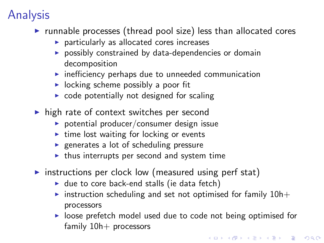# Analysis

- $\triangleright$  runnable processes (thread pool size) less than allocated cores
	- $\blacktriangleright$  particularly as allocated cores increases
	- $\triangleright$  possibly constrained by data-dependencies or domain decomposition
	- $\triangleright$  inefficiency perhaps due to unneeded communication
	- $\triangleright$  locking scheme possibly a poor fit
	- $\triangleright$  code potentially not designed for scaling
- $\triangleright$  high rate of context switches per second
	- $\triangleright$  potential producer/consumer design issue
	- $\triangleright$  time lost waiting for locking or events
	- $\blacktriangleright$  generates a lot of scheduling pressure
	- $\triangleright$  thus interrupts per second and system time
- $\triangleright$  instructions per clock low (measured using perf stat)
	- $\blacktriangleright$  due to core back-end stalls (ie data fetch)
	- instruction scheduling and set not optimised for family  $10h+$ processors
	- $\triangleright$  loose prefetch model used due to code not being optimised for family  $10h+$  processors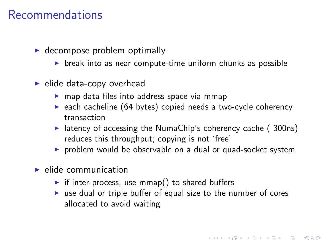### Recommendations

- $\blacktriangleright$  decompose problem optimally
	- $\triangleright$  break into as near compute-time uniform chunks as possible
- $\blacktriangleright$  elide data-copy overhead
	- $\triangleright$  map data files into address space via mmap
	- $\triangleright$  each cacheline (64 bytes) copied needs a two-cycle coherency transaction
	- Intency of accessing the NumaChip's coherency cache ( $300ns$ ) reduces this throughput; copying is not 'free'
	- $\triangleright$  problem would be observable on a dual or quad-socket system
- $\blacktriangleright$  elide communication
	- $\triangleright$  if inter-process, use mmap() to shared buffers
	- $\triangleright$  use dual or triple buffer of equal size to the number of cores allocated to avoid waiting